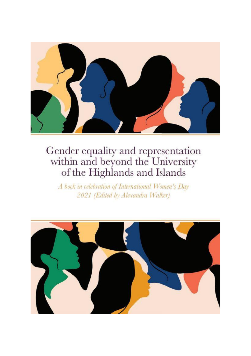

A book in celebration of International Women's Day 2021 (Edited by Alexandra Walker)

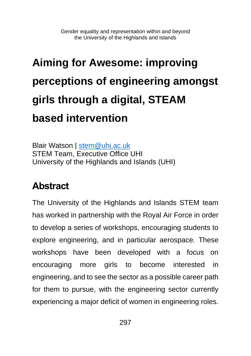# **Aiming for Awesome: improving perceptions of engineering amongst girls through a digital, STEAM based intervention**

Blair Watson | [stem@uhi.ac.uk](mailto:stem@uhi.ac.uk) STEM Team, Executive Office UHI University of the Highlands and Islands (UHI)

## **Abstract**

The University of the Highlands and Islands STEM team has worked in partnership with the Royal Air Force in order to develop a series of workshops, encouraging students to explore engineering, and in particular aerospace. These workshops have been developed with a focus on encouraging more girls to become interested in engineering, and to see the sector as a possible career path for them to pursue, with the engineering sector currently experiencing a major deficit of women in engineering roles.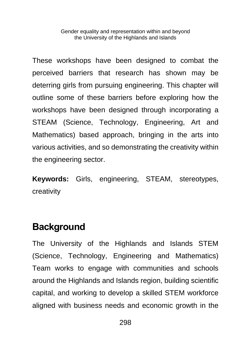These workshops have been designed to combat the perceived barriers that research has shown may be deterring girls from pursuing engineering. This chapter will outline some of these barriers before exploring how the workshops have been designed through incorporating a STEAM (Science, Technology, Engineering, Art and Mathematics) based approach, bringing in the arts into various activities, and so demonstrating the creativity within the engineering sector.

**Keywords:** Girls, engineering, STEAM, stereotypes, creativity

#### **Background**

The University of the Highlands and Islands STEM (Science, Technology, Engineering and Mathematics) Team works to engage with communities and schools around the Highlands and Islands region, building scientific capital, and working to develop a skilled STEM workforce aligned with business needs and economic growth in the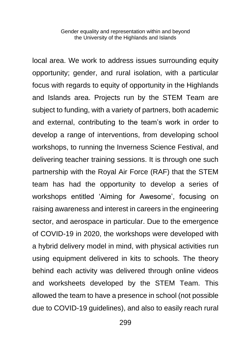local area. We work to address issues surrounding equity opportunity; gender, and rural isolation, with a particular focus with regards to equity of opportunity in the Highlands and Islands area. Projects run by the STEM Team are subject to funding, with a variety of partners, both academic and external, contributing to the team's work in order to develop a range of interventions, from developing school workshops, to running the Inverness Science Festival, and delivering teacher training sessions. It is through one such partnership with the Royal Air Force (RAF) that the STEM team has had the opportunity to develop a series of workshops entitled 'Aiming for Awesome', focusing on raising awareness and interest in careers in the engineering sector, and aerospace in particular. Due to the emergence of COVID-19 in 2020, the workshops were developed with a hybrid delivery model in mind, with physical activities run using equipment delivered in kits to schools. The theory behind each activity was delivered through online videos and worksheets developed by the STEM Team. This allowed the team to have a presence in school (not possible due to COVID-19 guidelines), and also to easily reach rural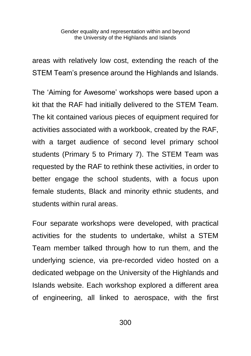areas with relatively low cost, extending the reach of the STEM Team's presence around the Highlands and Islands.

The 'Aiming for Awesome' workshops were based upon a kit that the RAF had initially delivered to the STEM Team. The kit contained various pieces of equipment required for activities associated with a workbook, created by the RAF, with a target audience of second level primary school students (Primary 5 to Primary 7). The STEM Team was requested by the RAF to rethink these activities, in order to better engage the school students, with a focus upon female students, Black and minority ethnic students, and students within rural areas.

Four separate workshops were developed, with practical activities for the students to undertake, whilst a STEM Team member talked through how to run them, and the underlying science, via pre-recorded video hosted on a dedicated webpage on the University of the Highlands and Islands website. Each workshop explored a different area of engineering, all linked to aerospace, with the first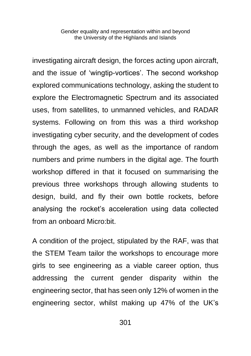investigating aircraft design, the forces acting upon aircraft, and the issue of 'wingtip-vortices'. The second workshop explored communications technology, asking the student to explore the Electromagnetic Spectrum and its associated uses, from satellites, to unmanned vehicles, and RADAR systems. Following on from this was a third workshop investigating cyber security, and the development of codes through the ages, as well as the importance of random numbers and prime numbers in the digital age. The fourth workshop differed in that it focused on summarising the previous three workshops through allowing students to design, build, and fly their own bottle rockets, before analysing the rocket's acceleration using data collected from an onboard Micro:bit.

A condition of the project, stipulated by the RAF, was that the STEM Team tailor the workshops to encourage more girls to see engineering as a viable career option, thus addressing the current gender disparity within the engineering sector, that has seen only 12% of women in the engineering sector, whilst making up 47% of the UK's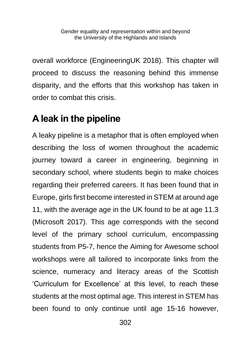overall workforce (EngineeringUK 2018). This chapter will proceed to discuss the reasoning behind this immense disparity, and the efforts that this workshop has taken in order to combat this crisis.

# **A leak in the pipeline**

A leaky pipeline is a metaphor that is often employed when describing the loss of women throughout the academic journey toward a career in engineering, beginning in secondary school, where students begin to make choices regarding their preferred careers. It has been found that in Europe, girls first become interested in STEM at around age 11, with the average age in the UK found to be at age 11.3 (Microsoft 2017). This age corresponds with the second level of the primary school curriculum, encompassing students from P5-7, hence the Aiming for Awesome school workshops were all tailored to incorporate links from the science, numeracy and literacy areas of the Scottish 'Curriculum for Excellence' at this level, to reach these students at the most optimal age. This interest in STEM has been found to only continue until age 15-16 however,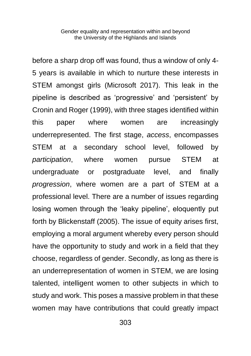before a sharp drop off was found, thus a window of only 4- 5 years is available in which to nurture these interests in STEM amongst girls (Microsoft 2017). This leak in the pipeline is described as 'progressive' and 'persistent' by Cronin and Roger (1999), with three stages identified within this paper where women are increasingly underrepresented. The first stage, *access*, encompasses STEM at a secondary school level, followed by *participation*, where women pursue STEM at undergraduate or postgraduate level, and finally *progression*, where women are a part of STEM at a professional level. There are a number of issues regarding losing women through the 'leaky pipeline', eloquently put forth by Blickenstaff (2005). The issue of equity arises first, employing a moral argument whereby every person should have the opportunity to study and work in a field that they choose, regardless of gender. Secondly, as long as there is an underrepresentation of women in STEM, we are losing talented, intelligent women to other subjects in which to study and work. This poses a massive problem in that these women may have contributions that could greatly impact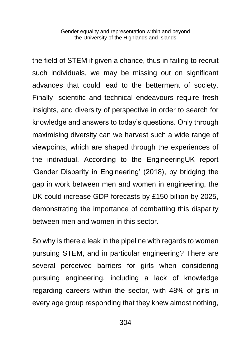the field of STEM if given a chance, thus in failing to recruit such individuals, we may be missing out on significant advances that could lead to the betterment of society. Finally, scientific and technical endeavours require fresh insights, and diversity of perspective in order to search for knowledge and answers to today's questions. Only through maximising diversity can we harvest such a wide range of viewpoints, which are shaped through the experiences of the individual. According to the EngineeringUK report 'Gender Disparity in Engineering' (2018), by bridging the gap in work between men and women in engineering, the UK could increase GDP forecasts by £150 billion by 2025, demonstrating the importance of combatting this disparity between men and women in this sector.

So why is there a leak in the pipeline with regards to women pursuing STEM, and in particular engineering? There are several perceived barriers for girls when considering pursuing engineering, including a lack of knowledge regarding careers within the sector, with 48% of girls in every age group responding that they knew almost nothing,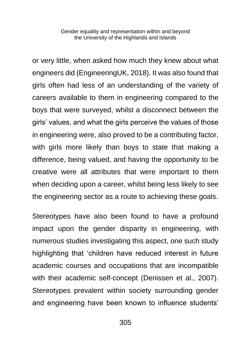or very little, when asked how much they knew about what engineers did (EngineeringUK, 2018). It was also found that girls often had less of an understanding of the variety of careers available to them in engineering compared to the boys that were surveyed, whilst a disconnect between the girls' values, and what the girls perceive the values of those in engineering were, also proved to be a contributing factor, with girls more likely than boys to state that making a difference, being valued, and having the opportunity to be creative were all attributes that were important to them when deciding upon a career, whilst being less likely to see the engineering sector as a route to achieving these goals.

Stereotypes have also been found to have a profound impact upon the gender disparity in engineering, with numerous studies investigating this aspect, one such study highlighting that 'children have reduced interest in future academic courses and occupations that are incompatible with their academic self-concept (Denissen et al., 2007). Stereotypes prevalent within society surrounding gender and engineering have been known to influence students'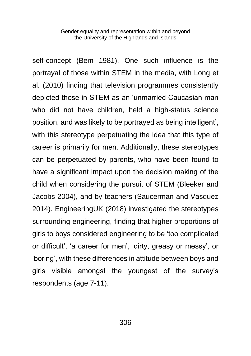self-concept (Bem 1981). One such influence is the portrayal of those within STEM in the media, with Long et al. (2010) finding that television programmes consistently depicted those in STEM as an 'unmarried Caucasian man who did not have children, held a high-status science position, and was likely to be portrayed as being intelligent', with this stereotype perpetuating the idea that this type of career is primarily for men. Additionally, these stereotypes can be perpetuated by parents, who have been found to have a significant impact upon the decision making of the child when considering the pursuit of STEM (Bleeker and Jacobs 2004), and by teachers (Saucerman and Vasquez 2014). EngineeringUK (2018) investigated the stereotypes surrounding engineering, finding that higher proportions of girls to boys considered engineering to be 'too complicated or difficult', 'a career for men', 'dirty, greasy or messy', or 'boring', with these differences in attitude between boys and girls visible amongst the youngest of the survey's respondents (age 7-11).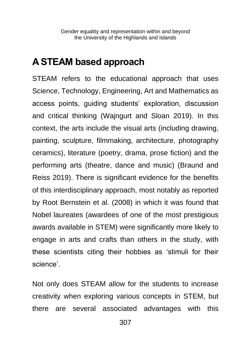#### **A STEAM based approach**

STEAM refers to the educational approach that uses Science, Technology, Engineering, Art and Mathematics as access points, guiding students' exploration, discussion and critical thinking (Wajngurt and Sloan 2019). In this context, the arts include the visual arts (including drawing, painting, sculpture, filmmaking, architecture, photography ceramics), literature (poetry, drama, prose fiction) and the performing arts (theatre, dance and music) (Braund and Reiss 2019). There is significant evidence for the benefits of this interdisciplinary approach, most notably as reported by Root Bernstein et al. (2008) in which it was found that Nobel laureates (awardees of one of the most prestigious awards available in STEM) were significantly more likely to engage in arts and crafts than others in the study, with these scientists citing their hobbies as 'stimuli for their science'.

Not only does STEAM allow for the students to increase creativity when exploring various concepts in STEM, but there are several associated advantages with this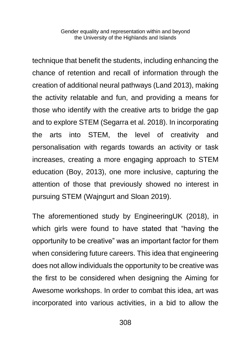technique that benefit the students, including enhancing the chance of retention and recall of information through the creation of additional neural pathways (Land 2013), making the activity relatable and fun, and providing a means for those who identify with the creative arts to bridge the gap and to explore STEM (Segarra et al. 2018). In incorporating the arts into STEM, the level of creativity and personalisation with regards towards an activity or task increases, creating a more engaging approach to STEM education (Boy, 2013), one more inclusive, capturing the attention of those that previously showed no interest in pursuing STEM (Wajngurt and Sloan 2019).

The aforementioned study by EngineeringUK (2018), in which girls were found to have stated that "having the opportunity to be creative" was an important factor for them when considering future careers. This idea that engineering does not allow individuals the opportunity to be creative was the first to be considered when designing the Aiming for Awesome workshops. In order to combat this idea, art was incorporated into various activities, in a bid to allow the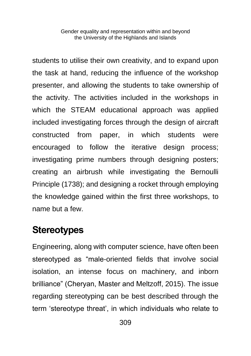students to utilise their own creativity, and to expand upon the task at hand, reducing the influence of the workshop presenter, and allowing the students to take ownership of the activity. The activities included in the workshops in which the STEAM educational approach was applied included investigating forces through the design of aircraft constructed from paper, in which students were encouraged to follow the iterative design process; investigating prime numbers through designing posters; creating an airbrush while investigating the Bernoulli Principle (1738); and designing a rocket through employing the knowledge gained within the first three workshops, to name but a few.

#### **Stereotypes**

Engineering, along with computer science, have often been stereotyped as "male-oriented fields that involve social isolation, an intense focus on machinery, and inborn brilliance" (Cheryan, Master and Meltzoff, 2015). The issue regarding stereotyping can be best described through the term 'stereotype threat', in which individuals who relate to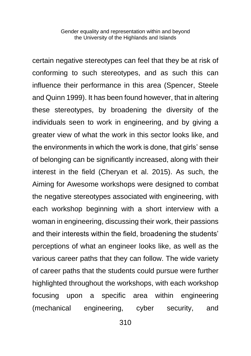certain negative stereotypes can feel that they be at risk of conforming to such stereotypes, and as such this can influence their performance in this area (Spencer, Steele and Quinn 1999). It has been found however, that in altering these stereotypes, by broadening the diversity of the individuals seen to work in engineering, and by giving a greater view of what the work in this sector looks like, and the environments in which the work is done, that girls' sense of belonging can be significantly increased, along with their interest in the field (Cheryan et al. 2015). As such, the Aiming for Awesome workshops were designed to combat the negative stereotypes associated with engineering, with each workshop beginning with a short interview with a woman in engineering, discussing their work, their passions and their interests within the field, broadening the students' perceptions of what an engineer looks like, as well as the various career paths that they can follow. The wide variety of career paths that the students could pursue were further highlighted throughout the workshops, with each workshop focusing upon a specific area within engineering (mechanical engineering, cyber security, and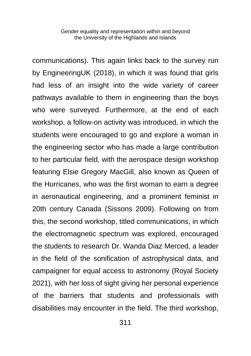communications). This again links back to the survey run by EngineeringUK (2018), in which it was found that girls had less of an insight into the wide variety of career pathways available to them in engineering than the boys who were surveyed. Furthermore, at the end of each workshop, a follow-on activity was introduced, in which the students were encouraged to go and explore a woman in the engineering sector who has made a large contribution to her particular field, with the aerospace design workshop featuring Elsie Gregory MacGill, also known as Queen of the Hurricanes, who was the first woman to earn a degree in aeronautical engineering, and a prominent feminist in 20th century Canada (Sissons 2009). Following on from this, the second workshop, titled communications, in which the electromagnetic spectrum was explored, encouraged the students to research Dr. Wanda Diaz Merced, a leader in the field of the sonification of astrophysical data, and campaigner for equal access to astronomy (Royal Society 2021), with her loss of sight giving her personal experience of the barriers that students and professionals with disabilities may encounter in the field. The third workshop,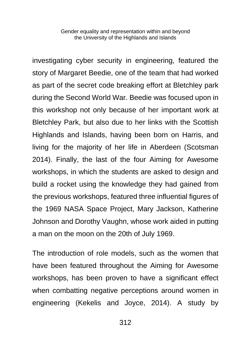investigating cyber security in engineering, featured the story of Margaret Beedie, one of the team that had worked as part of the secret code breaking effort at Bletchley park during the Second World War. Beedie was focused upon in this workshop not only because of her important work at Bletchley Park, but also due to her links with the Scottish Highlands and Islands, having been born on Harris, and living for the majority of her life in Aberdeen (Scotsman 2014). Finally, the last of the four Aiming for Awesome workshops, in which the students are asked to design and build a rocket using the knowledge they had gained from the previous workshops, featured three influential figures of the 1969 NASA Space Project, Mary Jackson, Katherine Johnson and Dorothy Vaughn, whose work aided in putting a man on the moon on the 20th of July 1969.

The introduction of role models, such as the women that have been featured throughout the Aiming for Awesome workshops, has been proven to have a significant effect when combatting negative perceptions around women in engineering (Kekelis and Joyce, 2014). A study by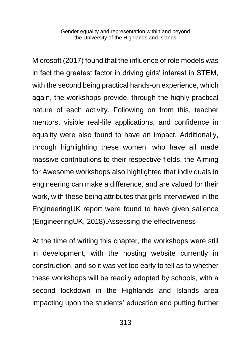Microsoft (2017) found that the influence of role models was in fact the greatest factor in driving girls' interest in STEM, with the second being practical hands-on experience, which again, the workshops provide, through the highly practical nature of each activity. Following on from this, teacher mentors, visible real-life applications, and confidence in equality were also found to have an impact. Additionally, through highlighting these women, who have all made massive contributions to their respective fields, the Aiming for Awesome workshops also highlighted that individuals in engineering can make a difference, and are valued for their work, with these being attributes that girls interviewed in the EngineeringUK report were found to have given salience (EngineeringUK, 2018).Assessing the effectiveness

At the time of writing this chapter, the workshops were still in development, with the hosting website currently in construction, and so it was yet too early to tell as to whether these workshops will be readily adopted by schools, with a second lockdown in the Highlands and Islands area impacting upon the students' education and putting further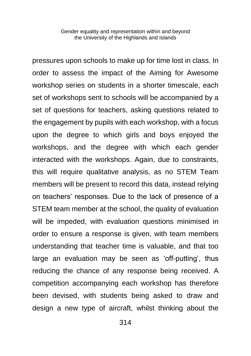pressures upon schools to make up for time lost in class. In order to assess the impact of the Aiming for Awesome workshop series on students in a shorter timescale, each set of workshops sent to schools will be accompanied by a set of questions for teachers, asking questions related to the engagement by pupils with each workshop, with a focus upon the degree to which girls and boys enjoyed the workshops, and the degree with which each gender interacted with the workshops. Again, due to constraints, this will require qualitative analysis, as no STEM Team members will be present to record this data, instead relying on teachers' responses. Due to the lack of presence of a STEM team member at the school, the quality of evaluation will be impeded, with evaluation questions minimised in order to ensure a response is given, with team members understanding that teacher time is valuable, and that too large an evaluation may be seen as 'off-putting', thus reducing the chance of any response being received. A competition accompanying each workshop has therefore been devised, with students being asked to draw and design a new type of aircraft, whilst thinking about the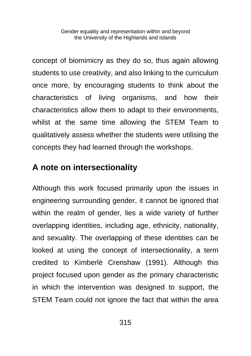concept of biomimicry as they do so, thus again allowing students to use creativity, and also linking to the curriculum once more, by encouraging students to think about the characteristics of living organisms, and how their characteristics allow them to adapt to their environments, whilst at the same time allowing the STEM Team to qualitatively assess whether the students were utilising the concepts they had learned through the workshops.

#### **A note on intersectionality**

Although this work focused primarily upon the issues in engineering surrounding gender, it cannot be ignored that within the realm of gender, lies a wide variety of further overlapping identities, including age, ethnicity, nationality, and sexuality. The overlapping of these identities can be looked at using the concept of intersectionality, a term credited to Kimberlè Crenshaw (1991). Although this project focused upon gender as the primary characteristic in which the intervention was designed to support, the STEM Team could not ignore the fact that within the area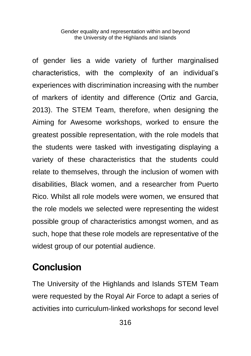of gender lies a wide variety of further marginalised characteristics, with the complexity of an individual's experiences with discrimination increasing with the number of markers of identity and difference (Ortiz and Garcia, 2013). The STEM Team, therefore, when designing the Aiming for Awesome workshops, worked to ensure the greatest possible representation, with the role models that the students were tasked with investigating displaying a variety of these characteristics that the students could relate to themselves, through the inclusion of women with disabilities, Black women, and a researcher from Puerto Rico. Whilst all role models were women, we ensured that the role models we selected were representing the widest possible group of characteristics amongst women, and as such, hope that these role models are representative of the widest group of our potential audience.

## **Conclusion**

The University of the Highlands and Islands STEM Team were requested by the Royal Air Force to adapt a series of activities into curriculum-linked workshops for second level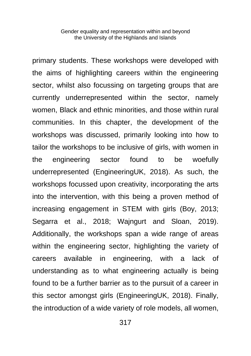primary students. These workshops were developed with the aims of highlighting careers within the engineering sector, whilst also focussing on targeting groups that are currently underrepresented within the sector, namely women, Black and ethnic minorities, and those within rural communities. In this chapter, the development of the workshops was discussed, primarily looking into how to tailor the workshops to be inclusive of girls, with women in the engineering sector found to be woefully underrepresented (EngineeringUK, 2018). As such, the workshops focussed upon creativity, incorporating the arts into the intervention, with this being a proven method of increasing engagement in STEM with girls (Boy, 2013; Segarra et al., 2018; Wajngurt and Sloan, 2019). Additionally, the workshops span a wide range of areas within the engineering sector, highlighting the variety of careers available in engineering, with a lack of understanding as to what engineering actually is being found to be a further barrier as to the pursuit of a career in this sector amongst girls (EngineeringUK, 2018). Finally, the introduction of a wide variety of role models, all women,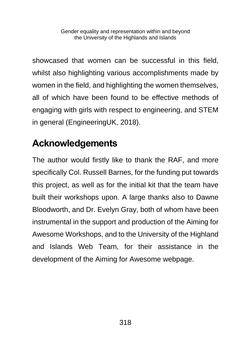showcased that women can be successful in this field, whilst also highlighting various accomplishments made by women in the field, and highlighting the women themselves, all of which have been found to be effective methods of engaging with girls with respect to engineering, and STEM in general (EngineeringUK, 2018).

# **Acknowledgements**

The author would firstly like to thank the RAF, and more specifically Col. Russell Barnes, for the funding put towards this project, as well as for the initial kit that the team have built their workshops upon. A large thanks also to Dawne Bloodworth, and Dr. Evelyn Gray, both of whom have been instrumental in the support and production of the Aiming for Awesome Workshops, and to the University of the Highland and Islands Web Team, for their assistance in the development of the Aiming for Awesome webpage.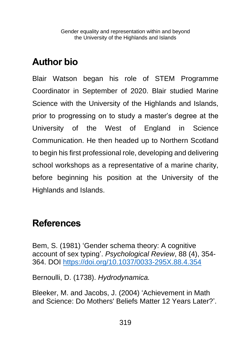# **Author bio**

Blair Watson began his role of STEM Programme Coordinator in September of 2020. Blair studied Marine Science with the University of the Highlands and Islands, prior to progressing on to study a master's degree at the University of the West of England in Science Communication. He then headed up to Northern Scotland to begin his first professional role, developing and delivering school workshops as a representative of a marine charity, before beginning his position at the University of the Highlands and Islands.

#### **References**

Bem, S. (1981) 'Gender schema theory: A cognitive account of sex typing'. *Psychological Review*, 88 (4), 354- 364. DOI<https://doi.org/10.1037/0033-295X.88.4.354>

Bernoulli, D. (1738). *Hydrodynamica.*

Bleeker, M. and Jacobs, J. (2004) 'Achievement in Math and Science: Do Mothers' Beliefs Matter 12 Years Later?'.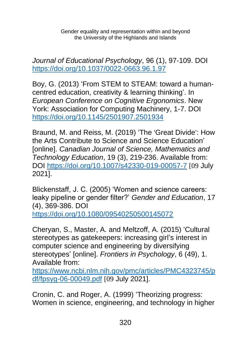*Journal of Educational Psychology*, 96 (1), 97-109. DOI <https://doi.org/10.1037/0022-0663.96.1.97>

Boy, G. (2013) 'From STEM to STEAM: toward a humancentred education, creativity & learning thinking'. In *European Conference on Cognitive Ergonomics*. New York: Association for Computing Machinery, 1-7. DOI <https://doi.org/10.1145/2501907.2501934>

Braund, M. and Reiss, M. (2019) 'The 'Great Divide': How the Arts Contribute to Science and Science Education' [online]. *Canadian Journal of Science, Mathematics and Technology Education*, 19 (3), 219-236. Available from: DOI<https://doi.org/10.1007/s42330-019-00057-7> [09 July 2021].

Blickenstaff, J. C. (2005) 'Women and science careers: leaky pipeline or gender filter?' *Gender and Education*, 17 (4), 369-386. DOI

h[ttps://doi.org/10.1080/09540250500145072](https://doi.org/10.1080/09540250500145072)

Cheryan, S., Master, A. and Meltzoff, A. (2015) 'Cultural stereotypes as gatekeepers: increasing girl's interest in computer science and engineering by diversifying stereotypes' [online]. *Frontiers in Psychology*, 6 (49), 1. Available from:

[https://www.ncbi.nlm.nih.gov/pmc/articles/PMC4323745/p](https://www.ncbi.nlm.nih.gov/pmc/articles/PMC4323745/pdf/fpsyg-06-00049.pdf) [df/fpsyg-06-00049.pdf](https://www.ncbi.nlm.nih.gov/pmc/articles/PMC4323745/pdf/fpsyg-06-00049.pdf) [09 July 2021].

Cronin, C. and Roger, A. (1999) 'Theorizing progress: Women in science, engineering, and technology in higher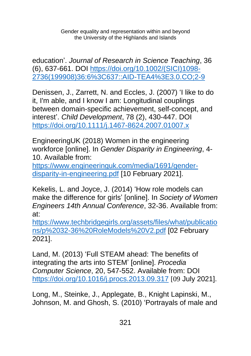education'. *Journal of Research in Science Teaching*, 36 (6), 637-661. DOI [https://doi.org/10.1002/\(SICI\)1098-](https://doi.org/10.1002/(SICI)1098-2736(199908)36:6%3C637::AID-TEA4%3E3.0.CO;2-9) [2736\(199908\)36:6%3C637::AID-TEA4%3E3.0.CO;2-9](https://doi.org/10.1002/(SICI)1098-2736(199908)36:6%3C637::AID-TEA4%3E3.0.CO;2-9)

Denissen, J., Zarrett, N. and Eccles, J. (2007) 'I like to do it, I'm able, and I know I am: Longitudinal couplings between domain-specific achievement, self-concept, and interest'. *Child Development*, 78 (2), 430-447. DOI <https://doi.org/10.1111/j.1467-8624.2007.01007.x>

EngineeringUK (2018) Women in the engineering workforce [online]. In *Gender Disparity in Engineering*, 4- 10. Available from:

[https://www.engineeringuk.com/media/1691/gender](https://www.engineeringuk.com/media/1691/gender-disparity-in-engineering.pdf)[disparity-in-engineering.pdf](https://www.engineeringuk.com/media/1691/gender-disparity-in-engineering.pdf) [10 February 2021].

Kekelis, L. and Joyce, J. (2014) 'How role models can make the difference for girls' [online]. In *Society of Women Engineers 14th Annual Conference*, 32-36. Available from: at:

[https://www.techbridgegirls.org/assets/files/what/publicatio](https://www.techbridgegirls.org/assets/files/what/publications/p%2032-36%20RoleModels%20V2.pdf) [ns/p%2032-36%20RoleModels%20V2.pdf](https://www.techbridgegirls.org/assets/files/what/publications/p%2032-36%20RoleModels%20V2.pdf) [02 February 2021].

Land, M. (2013) 'Full STEAM ahead: The benefits of integrating the arts into STEM' [online]. *Procedia Computer Science*, 20, 547-552. Available from: DOI <https://doi.org/10.1016/j.procs.2013.09.317> [09 July 2021].

Long, M., Steinke, J., Applegate, B., Knight Lapinski, M., Johnson, M. and Ghosh, S. (2010) 'Portrayals of male and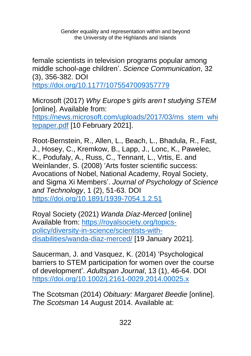female scientists in television programs popular among middle school-age children'. *Science Communication*, 32 (3), 356-382. DOI

<https://doi.org/10.1177/1075547009357779>

Microsoft (2017) *Why Europe*'*s girls aren*'*t studying STEM* [online]. Available from:

[https://news.microsoft.com/uploads/2017/03/ms\\_stem\\_whi](https://news.microsoft.com/uploads/2017/03/ms_stem_whitepaper.pdf) [tepaper.pdf](https://news.microsoft.com/uploads/2017/03/ms_stem_whitepaper.pdf) [10 February 2021].

Root-Bernstein, R., Allen, L., Beach, L., Bhadula, R., Fast, J., Hosey, C., Kremkow, B., Lapp, J., Lonc, K., Pawelec, K., Podufaly, A., Russ, C., Tennant, L., Vrtis, E. and Weinlander, S. (2008) 'Arts foster scientific success: Avocations of Nobel, National Academy, Royal Society, and Sigma Xi Members'. *Journal of Psychology of Science and Technology*, 1 (2), 51-63. DOI <https://doi.org/10.1891/1939-7054.1.2.51>

Royal Society (2021) *Wanda Díaz-Merced* [online] Available from: [https://royalsociety.org/topics](https://royalsociety.org/topics-policy/diversity-in-science/scientists-with-disabilities/wanda-diaz-merced/)[policy/diversity-in-science/scientists-with](https://royalsociety.org/topics-policy/diversity-in-science/scientists-with-disabilities/wanda-diaz-merced/)[disabilities/wanda-diaz-merced/](https://royalsociety.org/topics-policy/diversity-in-science/scientists-with-disabilities/wanda-diaz-merced/) [19 January 2021].

Saucerman, J. and Vasquez, K. (2014) 'Psychological barriers to STEM participation for women over the course of development'. *Adultspan Journal*, 13 (1), 46-64. DOI <https://doi.org/10.1002/j.2161-0029.2014.00025.x>

The Scotsman (2014) *Obituary: Margaret Beedie* [online]. *The Scotsman* 14 August 2014. Available at: